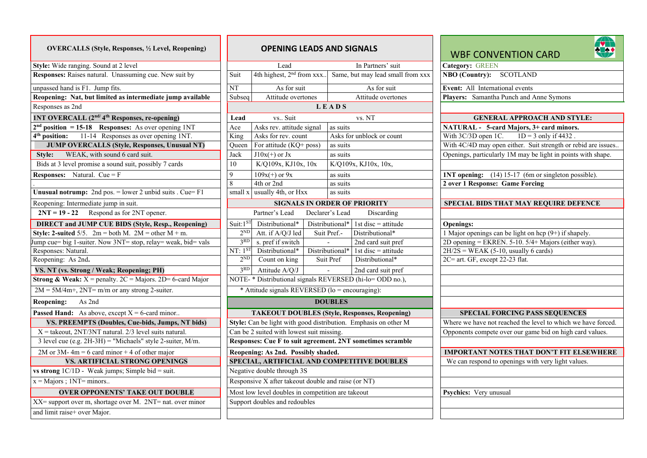| <b>OVERCALLS (Style, Responses, 1/2 Level, Reopening)</b>                    | <b>OPENING LEADS AND SIGNALS</b>                         |                                                 |  |                      |                                                                 |  |
|------------------------------------------------------------------------------|----------------------------------------------------------|-------------------------------------------------|--|----------------------|-----------------------------------------------------------------|--|
| Style: Wide ranging. Sound at 2 level                                        |                                                          | Lead                                            |  |                      | In Partners' suit                                               |  |
| Responses: Raises natural. Unassuming cue. New suit by                       | Suit                                                     | 4th highest, 2 <sup>nd</sup> from xxx           |  |                      | Same, but may lead small                                        |  |
| unpassed hand is F1. Jump fits.                                              | <b>NT</b>                                                | As for suit                                     |  |                      | As for suit                                                     |  |
| Reopening: Nat, but limited as intermediate jump available                   | Subseq                                                   | Attitude overtones                              |  |                      | Attitude overtones                                              |  |
| Responses as 2nd                                                             |                                                          |                                                 |  | <b>LEADS</b>         |                                                                 |  |
| 1NT OVERCALL (2 <sup>nd/</sup> 4 <sup>th</sup> Responses, re-opening)        | Lead                                                     | vs Suit                                         |  |                      | vs. NT                                                          |  |
| $2nd$ position = 15-18 Responses: As over opening 1NT                        | Ace                                                      | Asks rev. attitude signal                       |  | as suits             |                                                                 |  |
| 4 <sup>th</sup> position:<br>11-14 Responses as over opening 1NT.            | King                                                     | Asks for rev. count                             |  |                      | Asks for unblock or count                                       |  |
| <b>JUMP OVERCALLS (Style, Responses, Unusual NT)</b>                         | Oueen                                                    | For attitude (KQ+ poss)                         |  | as suits             |                                                                 |  |
| WEAK, with sound 6 card suit.<br>Style:                                      | Jack                                                     | $J10x(+)$ or Jx                                 |  | as suits             |                                                                 |  |
| Bids at 3 level promise a sound suit, possibly 7 cards                       | 10                                                       | K/Q109x, KJ10x, 10x                             |  | K/Q109x, KJ10x, 10x, |                                                                 |  |
| <b>Responses:</b> Natural. Cue = $F$                                         | 9                                                        | $109x(+)$ or $9x$                               |  | as suits             |                                                                 |  |
|                                                                              | 8                                                        | 4th or 2nd                                      |  | as suits             |                                                                 |  |
| Unusual notrump: 2nd pos. $=$ lower 2 unbid suits . Cue= F1                  | small x                                                  | usually 4th, or Hxx                             |  | as suits             |                                                                 |  |
| Reopening: Intermediate jump in suit.                                        |                                                          |                                                 |  |                      | <b>SIGNALS IN ORDER OF PRIORITY</b>                             |  |
| $2NT = 19 - 22$<br>Respond as for 2NT opener.                                |                                                          | Partner's Lead                                  |  | Declarer's Lead      | Discarding                                                      |  |
| <b>DIRECT and JUMP CUE BIDS (Style, Resp., Reopening)</b>                    | Suit:1ST                                                 | Distributional*                                 |  | Distributional*      | 1st disc $=$ attitude                                           |  |
| Style: 2-suited $5/5$ . $2m = both M$ . $2M = other M + m$ .                 | $2^{ND}$                                                 | Att. if A/Q/J led                               |  | Suit Pref.-          | Distributional*                                                 |  |
| Jump cue= big 1-suiter. Now 3NT= stop, relay= weak, bid= vals                | 3RD                                                      | s. pref if switch                               |  |                      | 2nd card suit pref                                              |  |
| Responses: Natural.                                                          | $NT: 1^{ST}$                                             | Distributional*                                 |  | Distributional*      | 1st disc = attitude                                             |  |
| Reopening: As 2nd.                                                           |                                                          | $2^{ND}$<br>Count on king<br>Suit Pref          |  |                      | Distributional*                                                 |  |
| VS. NT (vs. Strong / Weak; Reopening; PH)                                    | 3 <sup>RD</sup>                                          | Attitude A/O/J                                  |  |                      | 2nd card suit pref                                              |  |
| <b>Strong &amp; Weak:</b> $X =$ penalty. $2C =$ Majors. $2D = 6$ -card Major |                                                          |                                                 |  |                      | NOTE- * Distributional signals REVERSED (hi-lo= ODD no.).       |  |
| $2M = 5M/4m +$ , $2NT = m/m$ or any strong 2-suiter.                         |                                                          | * Attitude signals REVERSED (lo = encouraging): |  |                      |                                                                 |  |
| As 2nd<br>Reopening:                                                         | <b>DOUBLES</b>                                           |                                                 |  |                      |                                                                 |  |
| <b>Passed Hand:</b> As above, except $X = 6$ -card minor                     |                                                          |                                                 |  |                      | <b>TAKEOUT DOUBLES (Style, Responses, Reopening</b>             |  |
| VS. PREEMPTS (Doubles, Cue-bids, Jumps, NT bids)                             |                                                          |                                                 |  |                      | Style: Can be light with good distribution. Emphasis on other N |  |
| $X =$ takeout, 2NT/3NT natural. 2/3 level suits natural.                     |                                                          | Can be 2 suited with lowest suit missing.       |  |                      |                                                                 |  |
| 3 level cue (e.g. 2H-3H) = "Michaels" style 2-suiter, M/m.                   | Responses: Cue F to suit agreement. 2NT sometimes scramb |                                                 |  |                      |                                                                 |  |
| 2M or 3M-4m = 6 card minor + 4 of other major                                | Reopening: As 2nd. Possibly shaded.                      |                                                 |  |                      |                                                                 |  |
| <b>VS. ARTIFICIAL STRONG OPENINGS</b>                                        | SPECIAL, ARTIFICIAL AND COMPETITIVE DOUBLES              |                                                 |  |                      |                                                                 |  |
| vs strong $1C/1D$ - Weak jumps; Simple bid = suit.                           | Negative double through 3S                               |                                                 |  |                      |                                                                 |  |
| $x =$ Majors; 1NT= minors                                                    | Responsive X after takeout double and raise (or NT)      |                                                 |  |                      |                                                                 |  |
| <b>OVER OPPONENTS' TAKE OUT DOUBLE</b>                                       | Most low level doubles in competition are takeout        |                                                 |  |                      |                                                                 |  |
| XX= support over m, shortage over M. 2NT= nat. over minor                    |                                                          | Support doubles and redoubles                   |  |                      |                                                                 |  |
| and limit raise+ over Major.                                                 |                                                          |                                                 |  |                      |                                                                 |  |

| <b>OVERCALLS (Style, Responses, 1/2 Level, Reopening)</b>                    | <b>OPENING LEADS AND SIGNALS</b>                  |                                                     |                                                                 | <b>RTAY</b><br><b>WBF CONVENTION CARD</b>                     |
|------------------------------------------------------------------------------|---------------------------------------------------|-----------------------------------------------------|-----------------------------------------------------------------|---------------------------------------------------------------|
| Style: Wide ranging. Sound at 2 level                                        |                                                   | Lead                                                | In Partners' suit                                               | <b>Category: GREEN</b>                                        |
| Responses: Raises natural. Unassuming cue. New suit by                       | Suit                                              | 4th highest, 2 <sup>nd</sup> from xxx               | Same, but may lead small from xxx                               | NBO (Country): SCOTLAND                                       |
| unpassed hand is F1. Jump fits.                                              | NT                                                | As for suit                                         | As for suit                                                     | Event: All International events                               |
| Reopening: Nat, but limited as intermediate jump available                   | Subseq                                            | Attitude overtones                                  | Attitude overtones                                              | Players: Samantha Punch and Anne Symons                       |
| Responses as 2nd                                                             |                                                   |                                                     | <b>LEADS</b>                                                    |                                                               |
| 1NT OVERCALL (2 <sup>nd/</sup> 4 <sup>th</sup> Responses, re-opening)        | Lead                                              | vs Suit                                             | vs. NT                                                          | <b>GENERAL APPROACH AND STYLE:</b>                            |
| $2nd$ position = 15-18 Responses: As over opening 1NT                        | Ace                                               | Asks rev. attitude signal                           | as suits                                                        | NATURAL - 5-card Majors, 3+ card minors.                      |
| 11-14 Responses as over opening 1NT.<br>4 <sup>th</sup> position:            | King                                              | Asks for rev. count                                 | Asks for unblock or count                                       | With 3C/3D open 1C.<br>$1D = 3$ only if 4432.                 |
| <b>JUMP OVERCALLS (Style, Responses, Unusual NT)</b>                         | Oueen                                             | For attitude $(KQ+poss)$                            | as suits                                                        | With 4C/4D may open either. Suit strength or rebid are issues |
| WEAK, with sound 6 card suit.<br>Style:                                      | Jack                                              | $J10x(+)$ or Jx                                     | as suits                                                        | Openings, particularly 1M may be light in points with shape.  |
| Bids at 3 level promise a sound suit, possibly 7 cards                       | 10                                                | K/Q109x, KJ10x, 10x                                 | K/Q109x, KJ10x, 10x,                                            |                                                               |
| <b>Responses:</b> Natural. Cue = $F$                                         | $\mathbf{Q}$                                      | $109x(+)$ or $9x$                                   | as suits                                                        | <b>INT</b> opening: (14) 15-17 (6m or singleton possible).    |
|                                                                              | 8                                                 | 4th or 2nd                                          | as suits                                                        | 2 over 1 Response: Game Forcing                               |
| <b>Unusual notrump:</b> 2nd pos. $=$ lower 2 unbid suits . Cue $=$ F1        | small x                                           | usually 4th, or Hxx                                 | as suits                                                        |                                                               |
| Reopening: Intermediate jump in suit.                                        |                                                   |                                                     | <b>SIGNALS IN ORDER OF PRIORITY</b>                             | SPECIAL BIDS THAT MAY REQUIRE DEFENCE                         |
| $2NT = 19 - 22$ Respond as for 2NT opener.                                   |                                                   | Partner's Lead                                      | Declarer's Lead<br>Discarding                                   |                                                               |
| <b>DIRECT and JUMP CUE BIDS (Style, Resp., Reopening)</b>                    | Suit: $1^{ST}$                                    | Distributional*                                     | Distributional*<br>1st disc $=$ attitude                        | <b>Openings:</b>                                              |
| Style: 2-suited 5/5. $2m = both M$ . $2M = other M + m$ .                    | $2^{ND}$                                          | Att. if A/Q/J led                                   | Suit Pref.-<br>Distributional*                                  | 1 Major openings can be light on hcp $(9+)$ if shapely.       |
| Jump cue= big 1-suiter. Now 3NT= stop, relay= weak, bid= vals                | 3 <sup>RD</sup>                                   | s. pref if switch                                   | 2nd card suit pref                                              | 2D opening = EKREN. 5-10. $5/4$ + Majors (either way).        |
| Responses: Natural.                                                          | $NT: 1^{ST}$                                      | Distributional*                                     | Distributional*<br>1st disc = attitude                          | $2H/2S = WEAK$ (5-10, usually 6 cards)                        |
| Reopening: As 2nd.                                                           | $2^{ND}$                                          | Count on king                                       | Distributional*<br>Suit Pref                                    | 2C= art. GF, except 22-23 flat.                               |
| VS. NT (vs. Strong / Weak; Reopening; PH)                                    | 3 <sup>RD</sup>                                   | Attitude A/Q/J                                      | 2nd card suit pref<br>$\sim$                                    |                                                               |
| <b>Strong &amp; Weak:</b> $X =$ penalty. $2C =$ Majors. $2D = 6$ -card Major |                                                   |                                                     | NOTE- * Distributional signals REVERSED (hi-lo=ODD no.),        |                                                               |
| $2M = 5M/4m+$ , $2NT = m/m$ or any strong 2-suiter.                          |                                                   | * Attitude signals REVERSED (lo = encouraging):     |                                                                 |                                                               |
| As 2nd<br>Reopening:                                                         |                                                   |                                                     | <b>DOUBLES</b>                                                  |                                                               |
| <b>Passed Hand:</b> As above, except $X = 6$ -card minor                     |                                                   |                                                     | <b>TAKEOUT DOUBLES (Style, Responses, Reopening)</b>            | <b>SPECIAL FORCING PASS SEQUENCES</b>                         |
| VS. PREEMPTS (Doubles, Cue-bids, Jumps, NT bids)                             |                                                   |                                                     | Style: Can be light with good distribution. Emphasis on other M | Where we have not reached the level to which we have forced.  |
| $X =$ takeout, 2NT/3NT natural. 2/3 level suits natural.                     | Can be 2 suited with lowest suit missing.         |                                                     |                                                                 | Opponents compete over our game bid on high card values.      |
| 3 level cue (e.g. $2H-3H$ ) = "Michaels" style 2-suiter, M/m.                |                                                   |                                                     | Responses: Cue F to suit agreement. 2NT sometimes scramble      |                                                               |
| 2M or 3M-4m = 6 card minor + 4 of other major                                |                                                   | Reopening: As 2nd. Possibly shaded.                 |                                                                 | <b>IMPORTANT NOTES THAT DON'T FIT ELSEWHERE</b>               |
| VS. ARTIFICIAL STRONG OPENINGS                                               |                                                   |                                                     | SPECIAL, ARTIFICIAL AND COMPETITIVE DOUBLES                     | We can respond to openings with very light values.            |
| vs strong $1C/1D$ - Weak jumps; Simple bid = suit.                           |                                                   | Negative double through 3S                          |                                                                 |                                                               |
| $x =$ Majors; 1NT= minors                                                    |                                                   | Responsive X after takeout double and raise (or NT) |                                                                 |                                                               |
| <b>OVER OPPONENTS' TAKE OUT DOUBLE</b>                                       | Most low level doubles in competition are takeout |                                                     |                                                                 | Psychics: Very unusual                                        |
| XX= support over m, shortage over M. 2NT= nat. over minor                    |                                                   | Support doubles and redoubles                       |                                                                 |                                                               |
| and limit raise+ over Major.                                                 |                                                   |                                                     |                                                                 |                                                               |
|                                                                              |                                                   |                                                     |                                                                 |                                                               |

## WBF CONVENTION CARD



| NATURAL - 5-card Majors, 3+ card minors.<br>With $3C/3D$ open 1C. $1D = 3$ only if 4432.<br>With 4C/4D may open either. Suit strength or rebid are issues<br>Openings, particularly 1M may be light in points with shape.<br><b>1NT opening:</b> (14) 15-17 (6m or singleton possible).<br>2 over 1 Response: Game Forcing<br>SPECIAL BIDS THAT MAY REQUIRE DEFENCE<br><b>Openings:</b><br>1 Major openings can be light on hcp (9+) if shapely.<br>2D opening = EKREN. 5-10. $5/4+$ Majors (either way).<br>$2H/2S = WEAK (5-10, usually 6 cards)$<br>2C= art. GF, except 22-23 flat.<br><b>SPECIAL FORCING PASS SEQUENCES</b><br>Where we have not reached the level to which we have forced.<br>Opponents compete over our game bid on high card values.<br><b>IMPORTANT NOTES THAT DON'T FIT ELSEWHERE</b><br>We can respond to openings with very light values.<br>Psychics: Very unusual | <b>GENERAL APPROACH AND STYLE:</b> |
|------------------------------------------------------------------------------------------------------------------------------------------------------------------------------------------------------------------------------------------------------------------------------------------------------------------------------------------------------------------------------------------------------------------------------------------------------------------------------------------------------------------------------------------------------------------------------------------------------------------------------------------------------------------------------------------------------------------------------------------------------------------------------------------------------------------------------------------------------------------------------------------------|------------------------------------|
|                                                                                                                                                                                                                                                                                                                                                                                                                                                                                                                                                                                                                                                                                                                                                                                                                                                                                                |                                    |
|                                                                                                                                                                                                                                                                                                                                                                                                                                                                                                                                                                                                                                                                                                                                                                                                                                                                                                |                                    |
|                                                                                                                                                                                                                                                                                                                                                                                                                                                                                                                                                                                                                                                                                                                                                                                                                                                                                                |                                    |
|                                                                                                                                                                                                                                                                                                                                                                                                                                                                                                                                                                                                                                                                                                                                                                                                                                                                                                |                                    |
|                                                                                                                                                                                                                                                                                                                                                                                                                                                                                                                                                                                                                                                                                                                                                                                                                                                                                                |                                    |
|                                                                                                                                                                                                                                                                                                                                                                                                                                                                                                                                                                                                                                                                                                                                                                                                                                                                                                |                                    |
|                                                                                                                                                                                                                                                                                                                                                                                                                                                                                                                                                                                                                                                                                                                                                                                                                                                                                                |                                    |
|                                                                                                                                                                                                                                                                                                                                                                                                                                                                                                                                                                                                                                                                                                                                                                                                                                                                                                |                                    |
|                                                                                                                                                                                                                                                                                                                                                                                                                                                                                                                                                                                                                                                                                                                                                                                                                                                                                                |                                    |
|                                                                                                                                                                                                                                                                                                                                                                                                                                                                                                                                                                                                                                                                                                                                                                                                                                                                                                |                                    |
|                                                                                                                                                                                                                                                                                                                                                                                                                                                                                                                                                                                                                                                                                                                                                                                                                                                                                                |                                    |
|                                                                                                                                                                                                                                                                                                                                                                                                                                                                                                                                                                                                                                                                                                                                                                                                                                                                                                |                                    |
|                                                                                                                                                                                                                                                                                                                                                                                                                                                                                                                                                                                                                                                                                                                                                                                                                                                                                                |                                    |
|                                                                                                                                                                                                                                                                                                                                                                                                                                                                                                                                                                                                                                                                                                                                                                                                                                                                                                |                                    |
|                                                                                                                                                                                                                                                                                                                                                                                                                                                                                                                                                                                                                                                                                                                                                                                                                                                                                                |                                    |
|                                                                                                                                                                                                                                                                                                                                                                                                                                                                                                                                                                                                                                                                                                                                                                                                                                                                                                |                                    |
|                                                                                                                                                                                                                                                                                                                                                                                                                                                                                                                                                                                                                                                                                                                                                                                                                                                                                                |                                    |
|                                                                                                                                                                                                                                                                                                                                                                                                                                                                                                                                                                                                                                                                                                                                                                                                                                                                                                |                                    |
|                                                                                                                                                                                                                                                                                                                                                                                                                                                                                                                                                                                                                                                                                                                                                                                                                                                                                                |                                    |
|                                                                                                                                                                                                                                                                                                                                                                                                                                                                                                                                                                                                                                                                                                                                                                                                                                                                                                |                                    |
|                                                                                                                                                                                                                                                                                                                                                                                                                                                                                                                                                                                                                                                                                                                                                                                                                                                                                                |                                    |
|                                                                                                                                                                                                                                                                                                                                                                                                                                                                                                                                                                                                                                                                                                                                                                                                                                                                                                |                                    |
|                                                                                                                                                                                                                                                                                                                                                                                                                                                                                                                                                                                                                                                                                                                                                                                                                                                                                                |                                    |
|                                                                                                                                                                                                                                                                                                                                                                                                                                                                                                                                                                                                                                                                                                                                                                                                                                                                                                |                                    |
|                                                                                                                                                                                                                                                                                                                                                                                                                                                                                                                                                                                                                                                                                                                                                                                                                                                                                                |                                    |
|                                                                                                                                                                                                                                                                                                                                                                                                                                                                                                                                                                                                                                                                                                                                                                                                                                                                                                |                                    |
|                                                                                                                                                                                                                                                                                                                                                                                                                                                                                                                                                                                                                                                                                                                                                                                                                                                                                                |                                    |
|                                                                                                                                                                                                                                                                                                                                                                                                                                                                                                                                                                                                                                                                                                                                                                                                                                                                                                |                                    |